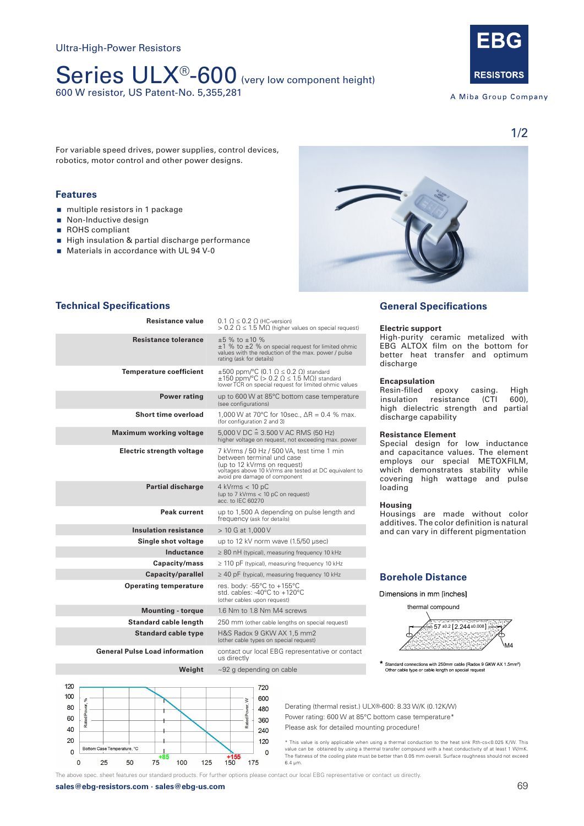## Series ULX<sup>®</sup>-600 (very low component height) 600 W resistor, US Patent-No. 5,355,281



A Miba Group Company

For variable speed drives, power supplies, control devices, robotics, motor control and other power designs.

## **Features 1x 800 W operating powers and 2x 300 W operating powers and 2x 300 W operating powers and 2x 150 W operating powers and 2x 300 W operating powers and 2x 300 W operating powers and 3x 150 W operating powers and**

- nultiple resistors in 1 package
- Non-Inductive design
- ROHS compliant
- High insulation & partial discharge performance
- $\blacksquare$  Materials in accordance with UL 94 V-0



## **Technical Specifications**

| Resistance value                      | $0.1 \Omega \leq 0.2 \Omega$ (HC-version)<br>$> 0.2$ $\Omega \leq 1.5$ M $\Omega$ (higher values on special request)                                                                             |  |
|---------------------------------------|--------------------------------------------------------------------------------------------------------------------------------------------------------------------------------------------------|--|
| <b>Resistance tolerance</b>           | $\pm 5$ % to $\pm 10$ %<br>$\pm 1$ % to $\pm 2$ % on special request for limited ohmic<br>values with the reduction of the max. power / pulse<br>rating (ask for details)                        |  |
| <b>Temperature coefficient</b>        | $\pm 500$ ppm/°C (0.1 $\Omega \le 0.2$ $\Omega$ ) standard<br>$\pm 150$ ppm/°C (> 0.2 $\Omega \le 1.5$ M $\Omega$ ) standard<br>lower TCR on special request for limited ohmic values            |  |
| <b>Power rating</b>                   | up to 600 W at 85°C bottom case temperature<br>(see configurations)                                                                                                                              |  |
| Short time overload                   | 1,000 W at 70°C for 10sec., $\Delta R = 0.4$ % max.<br>(for configuration 2 and 3)                                                                                                               |  |
| <b>Maximum working voltage</b>        | $5,000$ V DC $\hat{=} 3.500$ V AC RMS (50 Hz)<br>higher voltage on request, not exceeding max. power                                                                                             |  |
| Electric strength voltage             | 7 kVrms / 50 Hz / 500 VA, test time 1 min<br>between terminal und case<br>(up to 12 kVrms on request)<br>voltages above 10 kVrms are tested at DC equivalent to<br>avoid pre damage of component |  |
| <b>Partial discharge</b>              | $4$ kVrms $<$ 10 pC<br>(up to 7 kVrms < 10 pC on request)<br>acc. to IEC 60270                                                                                                                   |  |
| Peak current                          | up to 1,500 A depending on pulse length and<br>frequency (ask for details)                                                                                                                       |  |
| <b>Insulation resistance</b>          | > 10 G at 1,000 V                                                                                                                                                                                |  |
| Single shot voltage                   | up to 12 kV norm wave (1.5/50 usec)                                                                                                                                                              |  |
| Inductance                            | $\geq$ 80 nH (typical), measuring frequency 10 kHz                                                                                                                                               |  |
| Capacity/mass                         | $\geq$ 110 pF (typical), measuring frequency 10 kHz                                                                                                                                              |  |
| Capacity/parallel                     | $\geq$ 40 pF (typical), measuring frequency 10 kHz                                                                                                                                               |  |
| <b>Operating temperature</b>          | res. body: -55°C to +155°C<br>std. cables: -40 $\degree$ C to +120 $\degree$ C<br>(other cables upon request)                                                                                    |  |
| <b>Mounting - torque</b>              | 1.6 Nm to 1.8 Nm M4 screws                                                                                                                                                                       |  |
| <b>Standard cable length</b>          | 250 mm (other cable lengths on special request)                                                                                                                                                  |  |
| <b>Standard cable type</b>            | H&S Radox 9 GKW AX 1,5 mm2<br>(other cable types on special request)                                                                                                                             |  |
| <b>General Pulse Load information</b> | contact our local EBG representative or contact<br>us directly                                                                                                                                   |  |
| Weight                                | $\sim$ 92 g depending on cable                                                                                                                                                                   |  |

## **General Specifications**

#### **Electric support**

High-purity ceramic metalized with EBG ALTOX film on the bottom for better heat transfer and optimum discharge

#### **Encapsulation**

high dielectric strength and partial discharge capability **discharge capability** Resin-filled epoxy casing. High insulation resistance (CTI 600),

## **Resistance Element**

employs our special ividition-film, which demonstrates stability while covering high wattage and pulse loading Special design for low inductance and capacitance values. The element employs our special METOXFILM, which demonstrates stability while

#### **Housing**

Housings are made without color additives. The color definition is natural additives. The color definition is natural<br>and can vary in different pigmentation

#### **Borehole Distance Borehole Distance**

thermal compound



Standard connections with 250mm cable (Radox 9 GKW AX 1.5mm<sup>2</sup>)<br>Other cable type or cable length on special request

Derating (thermal resist.) ULX®-600: 8.33 W/K (0.12K/W) Power rating: 600 W at 85°C bottom case temperature\* Please ask for detailed mounting procedure!

\* This value is only applicable when using a thermal conduction to the heat sink Rth-cs<0.025 K/W. This value can be obtained by using a thermal transfer compound with a heat conductivity of at least 1 W/mK. The above spec. sheet features our standard products. For further options please contact our local EBG representative or contact us directly. <sup>2</sup> **185 100 125 <b>1155** The flatness of the cooling plate must be better than 0.05 mm overall. Surface roughness should not exceed **1876 100 125 150 175** 6.4 µm. 6.4 μm.

The above spec. sheet features our standard products. For further options please contact our local EBG representative or contact us directly.

**Open** 360

720

 $600$  $\geq$ 

480

240

120

120

100

80

60

40

20